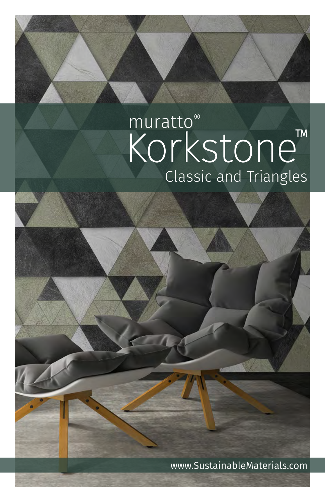# muratto<sup>®</sup> Korkstone<sup>TM</sup><br>Classic and Triangles

www.SustainableMaterials.com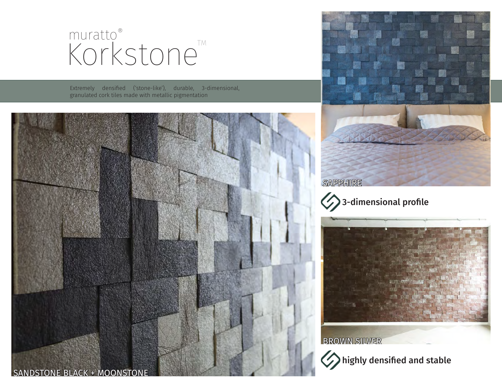# Korkstone muratto®

Extremely densified ('stone-like'), durable, 3-dimensional, granulated cork tiles made with metallic pigmentation









**BROWN SILVER** 

highly densified and stable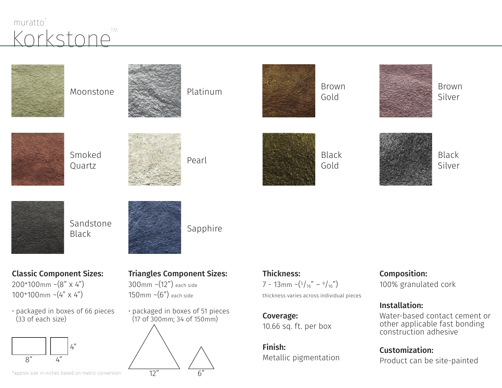### Korkstone<sup>TM</sup> muratto<sup>®</sup>

| Moonstone                                             | Platinum                                                       | <b>Brown</b><br>Gold                      | <b>Brown</b><br>Silver                                                                                          |
|-------------------------------------------------------|----------------------------------------------------------------|-------------------------------------------|-----------------------------------------------------------------------------------------------------------------|
| Smoked<br>Quartz                                      | Pearl                                                          | <b>Black</b><br>Gold                      | <b>Black</b><br>Silver                                                                                          |
| Sandstone<br><b>Black</b>                             | Sapphire                                                       |                                           |                                                                                                                 |
| <b>Classic Component Sizes:</b>                       | <b>Triangles Component Sizes:</b>                              | <b>Thickness:</b>                         | <b>Composition:</b>                                                                                             |
| $200*100$ mm ~ $(8" \times 4")$                       | $300$ mm ~ $(12")$ each side                                   | 7 - 13mm ~ $(5/16" - 9/16")$              | 100% granulated cork                                                                                            |
| $100*100$ mm ~ $(4" \times 4")$                       | 150mm $\sim$ $(6")$ each side                                  | thickness varies across individual pieces |                                                                                                                 |
| · packaged in boxes of 66 pieces<br>(33 of each size) | · packaged in boxes of 51 pieces<br>(17 of 300mm; 34 of 150mm) | Coverage:<br>10.66 sq. ft. per box        | <b>Installation:</b><br>Water-based contact cement or<br>other applicable fast bonding<br>construction adhesive |
|                                                       |                                                                | Finish:                                   | <b>Customization:</b>                                                                                           |
| 8"<br>4"                                              |                                                                | Metallic pigmentation                     | Product can be site-painted                                                                                     |
| *approx size in inches based on metric conversion     | 12"<br>6"                                                      |                                           |                                                                                                                 |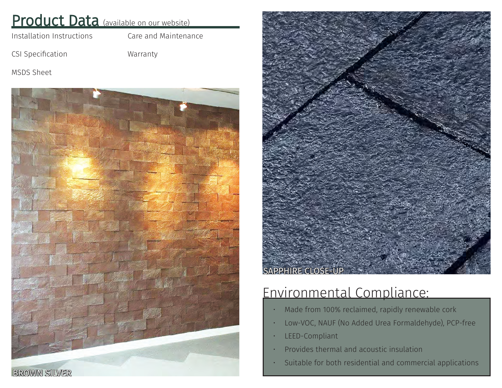#### Product Data (available on our website)

[Installation Instructions](http://www.sustainablematerials.com/wp-content/uploads/2015/01/Cork-Bricks-all-Installation-Instructions-SM-2017.pdf)

[Care and Maintenance](http://www.sustainablematerials.com/wp-content/uploads/2015/01/Korkstone-Care-and-Maintenance-SM2017.pdf)

[CSI Specification](http://www.sustainablematerials.com/wp-content/uploads/2015/01/Korkstone-CSI-SM2017.pdf)

[Warranty](http://www.sustainablematerials.com/wp-content/uploads/2015/01/Korkstone-Warranty-SM2017.pdf)

[MSDS Sheet](http://www.sustainablematerials.com/wp-content/uploads/2015/01/Korkstone-MSDS-SM2017.pdf)





## Environmental Compliance:

- Made from 100% reclaimed, rapidly renewable cork
- Low-VOC, NAUF (No Added Urea Formaldehyde), PCP-free
- LEED-Compliant
- Provides thermal and acoustic insulation
- Suitable for both residential and commercial applications